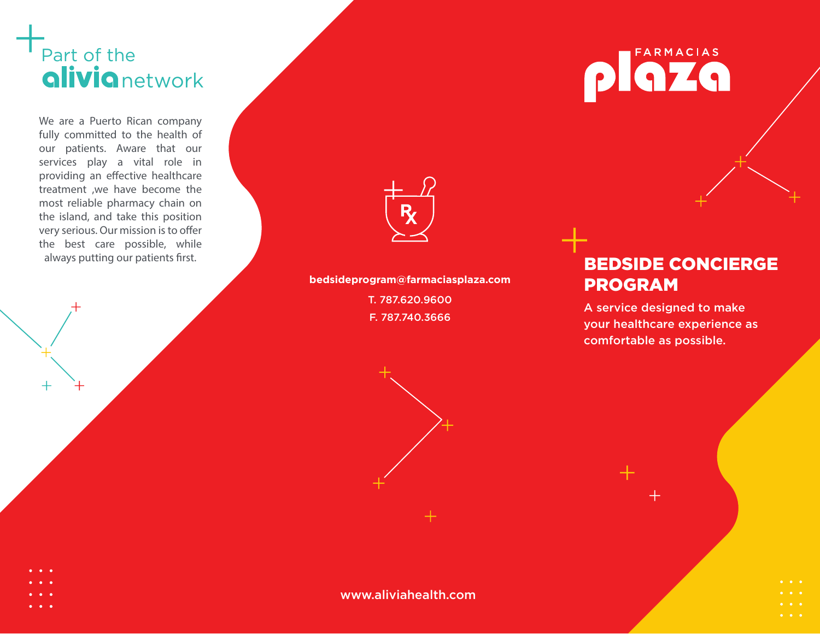## Part of the **alivia** network

We are a Puerto Rican company fully committed to the health of our patients. Aware that our services play a vital role in providing an effective healthcare treatment ,we have become the most reliable pharmacy chain on the island, and take this position very serious. Our mission is to offer the best care possible, while

**bedsideprogram@farmaciasplaza.com** T. 787.620.9600 F. 787.740.3666

# **FARMACIAS** ZO

## always putting our patients first. The concentration of the concentration of the concentration of the concentration of the concentration of the concentration of the concentration of the concentration of the concentration o PROGRAM

A service designed to make your healthcare experience as comfortable as possible.

- 
- 
- 
- 

www.aliviahealth.com

- 
-